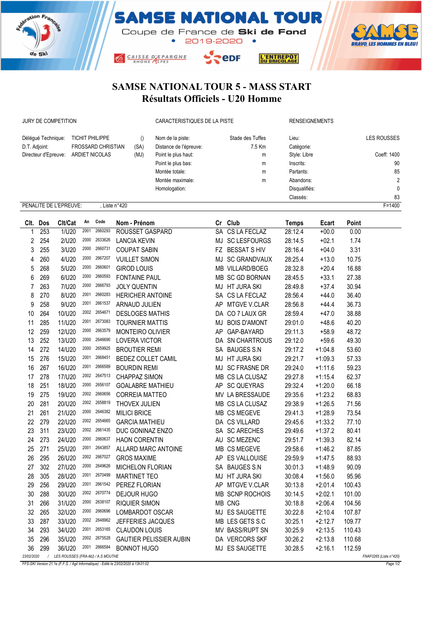





SAMSE NATIONAL TOUR 5 - MASS START Résultats Officiels - U20 Homme

JURY DE COMPETITION CARACTERISTIQUES DE LA PISTE RENSEIGNEMENTS

| Déléqué Technique:                                           | TICHIT PHILIPPE           |      | Nom de la piste:       | Stade des Tuffes | Lieu:         | <b>LES ROUSSES</b> |  |  |  |
|--------------------------------------------------------------|---------------------------|------|------------------------|------------------|---------------|--------------------|--|--|--|
| D.T. Adjoint:                                                | <b>FROSSARD CHRISTIAN</b> | (SA) | Distance de l'épreuve: | 7.5 Km           | Catégorie:    |                    |  |  |  |
| Directeur d'Epreuve:                                         | ARDIET NICOLAS            | (MJ) | Point le plus haut:    | m                | Style: Libre  | Coeff: 1400        |  |  |  |
|                                                              |                           |      | Point le plus bas:     | m                | Inscrits:     | 90                 |  |  |  |
|                                                              |                           |      | Montée totale:         | m                | Partants:     | 85                 |  |  |  |
|                                                              |                           |      | Montée maximale:       | m                | Abandons:     | $\overline{2}$     |  |  |  |
|                                                              |                           |      | Homologation:          |                  | Disqualifiés: | 0                  |  |  |  |
|                                                              |                           |      |                        |                  | Classés:      | 83                 |  |  |  |
| $F = 1400$<br>PENALITE DE L'EPREUVE:<br>Liste $n^{\circ}420$ |                           |      |                        |                  |               |                    |  |  |  |

|            | Clt. Dos | Clt/Cat                                                     | An   | Code    | Nom - Prénom                   |  | Cr Club         | <b>Temps</b> | Ecart     | Point  |  |
|------------|----------|-------------------------------------------------------------|------|---------|--------------------------------|--|-----------------|--------------|-----------|--------|--|
| 1          | 253      | 1/U20                                                       | 2001 | 2660293 | ROUSSET GASPARD                |  | SA CS LA FECLAZ | 28:12.4      | $+00.0$   | 0.00   |  |
| 2          | 254      | 2/U20                                                       | 2000 | 2633626 | <b>LANCIA KEVIN</b>            |  | MJ SC LESFOURGS | 28:14.5      | $+02.1$   | 1.74   |  |
| 3          | 255      | 3/U20                                                       | 2000 | 2660731 | <b>COUPAT SABIN</b>            |  | FZ BESSAT S HIV | 28:16.4      | $+04.0$   | 3.31   |  |
| 4          | 260      | 4/U20                                                       | 2000 | 2667207 | <b>VUILLET SIMON</b>           |  | MJ SC GRANDVAUX | 28:25.4      | $+13.0$   | 10.75  |  |
| 5          | 268      | 5/U20                                                       | 2000 | 2660601 | <b>GIROD LOUIS</b>             |  | MB VILLARD/BOEG | 28:32.8      | $+20.4$   | 16.88  |  |
| 6          | 269      | 6/U20                                                       | 2000 | 2660593 | <b>FONTAINE PAUL</b>           |  | MB SC GD BORNAN | 28:45.5      | $+33.1$   | 27.38  |  |
| 7          | 263      | 7/U20                                                       | 2000 | 2666793 | <b>JOLY QUENTIN</b>            |  | MJ HT JURA SKI  | 28:49.8      | $+37.4$   | 30.94  |  |
| 8          | 270      | 8/U20                                                       | 2001 | 2660283 | <b>HERICHER ANTOINE</b>        |  | SA CS LA FECLAZ | 28:56.4      | $+44.0$   | 36.40  |  |
| 9          | 258      | 9/U20                                                       | 2001 | 2661537 | ARNAUD JULIEN                  |  | AP MTGVE V.CLAR | 28:56.8      | $+44.4$   | 36.73  |  |
| 10         | 264      | 10/U20                                                      | 2002 | 2654671 | <b>DESLOGES MATHIS</b>         |  | DA CO 7 LAUX GR | 28:59.4      | $+47.0$   | 38.88  |  |
| 11         | 285      | 11/U20                                                      | 2001 | 2673083 | <b>TOURNIER MATTIS</b>         |  | MJ BOIS D'AMONT | 29:01.0      | $+48.6$   | 40.20  |  |
| 12         | 259      | 12/U20                                                      | 2000 | 2663579 | MONTEIRO OLIVIER               |  | AP GAP-BAYARD   | 29:11.3      | $+58.9$   | 48.72  |  |
| 13         | 252      | 13/U20                                                      | 2000 | 2646690 | <b>LOVERA VICTOR</b>           |  | DA SN CHARTROUS | 29:12.0      | $+59.6$   | 49.30  |  |
| 14         | 272      | 14/U20                                                      | 2000 | 2659925 | <b>BROUTIER REMI</b>           |  | SA BAUGES S.N   | 29:17.2      | $+1:04.8$ | 53.60  |  |
| 15         | 276      | 15/U20                                                      | 2001 | 2668451 | BEDEZ COLLET CAMIL             |  | MJ HT JURA SKI  | 29:21.7      | $+1:09.3$ | 57.33  |  |
| 16         | 267      | 16/U20                                                      | 2001 | 2666589 | <b>BOURDIN REMI</b>            |  | MJ SC FRASNE DR | 29:24.0      | $+1:11.6$ | 59.23  |  |
| 17         | 278      | 17/U20                                                      | 2002 | 2647513 | <b>CHAPPAZ SIMON</b>           |  | MB CS LA CLUSAZ | 29:27.8      | $+1:15.4$ | 62.37  |  |
| 18         | 251      | 18/U20                                                      | 2000 | 2656107 | <b>GOALABRE MATHIEU</b>        |  | AP SC QUEYRAS   | 29:32.4      | $+1:20.0$ | 66.18  |  |
| 19         | 275      | 19/U20                                                      | 2002 | 2660656 | <b>CORREIA MATTEO</b>          |  | MV LA BRESSAUDE | 29:35.6      | $+1:23.2$ | 68.83  |  |
| 20         | 281      | 20/U20                                                      | 2002 | 2658819 | THOVEX JULIEN                  |  | MB CS LA CLUSAZ | 29:38.9      | $+1:26.5$ | 71.56  |  |
| 21         | 261      | 21/U20                                                      | 2000 | 2646382 | <b>MILICI BRICE</b>            |  | MB CS MEGEVE    | 29:41.3      | $+1:28.9$ | 73.54  |  |
| 22         | 279      | 22/U20                                                      | 2002 | 2654665 | <b>GARCIA MATHIEU</b>          |  | DA CS VILLARD   | 29:45.6      | $+1:33.2$ | 77.10  |  |
| 23         | 311      | 23/U20                                                      | 2002 | 2661435 | DUC GONINAZ ENZO               |  | SA SC ARECHES   | 29:49.6      | $+1:37.2$ | 80.41  |  |
| 24         | 273      | 24/U20                                                      | 2000 | 2660637 | <b>HAON CORENTIN</b>           |  | AU SC MEZENC    | 29:51.7      | $+1:39.3$ | 82.14  |  |
| 25         | 271      | 25/U20                                                      | 2001 | 2643857 | ALLARD MARC ANTOINE            |  | MB CS MEGEVE    | 29:58.6      | $+1:46.2$ | 87.85  |  |
| 26         | 295      | 26/U20                                                      | 2002 | 2667027 | <b>GROS MAXIME</b>             |  | AP ES VALLOUISE | 29:59.9      | $+1:47.5$ | 88.93  |  |
| 27         | 302      | 27/U20                                                      | 2000 | 2649626 | MICHELON FLORIAN               |  | SA BAUGES S.N   | 30:01.3      | $+1:48.9$ | 90.09  |  |
| 28         | 305      | 28/U20                                                      | 2001 | 2670499 | <b>MARTINET TEO</b>            |  | MJ HT JURA SKI  | 30:08.4      | $+1:56.0$ | 95.96  |  |
| 29         | 256      | 29/U20                                                      | 2001 | 2661542 | PEREZ FLORIAN                  |  | AP MTGVE V.CLAR | 30:13.8      | $+2:01.4$ | 100.43 |  |
| 30         | 288      | 30/U20                                                      | 2002 | 2670774 | <b>DEJOUR HUGO</b>             |  | MB SCNP ROCHOIS | 30:14.5      | $+2:02.1$ | 101.00 |  |
| 31         | 266      | 31/U20                                                      | 2000 | 2638107 | <b>RIQUIER SIMON</b>           |  | MB CNG          | 30:18.8      | $+2:06.4$ | 104.56 |  |
| 32         | 265      | 32/U20                                                      | 2000 | 2660696 | LOMBARDOT OSCAR                |  | MJ ES SAUGETTE  | 30:22.8      | $+2:10.4$ | 107.87 |  |
| 33         | 287      | 33/U20                                                      | 2002 | 2648962 | JEFFERIES JACQUES              |  | MB LES GETS S.C | 30:25.1      | $+2:12.7$ | 109.77 |  |
| 34         | 293      | 34/U20                                                      | 2001 | 2653165 | <b>CLAUDON LOUIS</b>           |  | MV BASS/RUPT SN | 30:25.9      | $+2:13.5$ | 110.43 |  |
| 35         | 296      | 35/U20                                                      | 2002 | 2675528 | <b>GAUTIER PELISSIER AUBIN</b> |  | DA VERCORS SKF  | 30:26.2      | $+2:13.8$ | 110.68 |  |
| 36         | 299      | 36/U20                                                      | 2001 | 2666584 | <b>BONNOT HUGO</b>             |  | MJ ES SAUGETTE  | 30:28.5      | $+2:16.1$ | 112.59 |  |
| 23/02/2020 | $\prime$ | LES ROUSSES (FRA-MJ) / A.S MOUTHE<br>FNAF0265 (Liste n°420) |      |         |                                |  |                 |              |           |        |  |

FFS-SKI Version 21.1e (F.F.S. / Agil Informatique) - Edité le 23/02/2020 à 13h31:02 Page 1/2